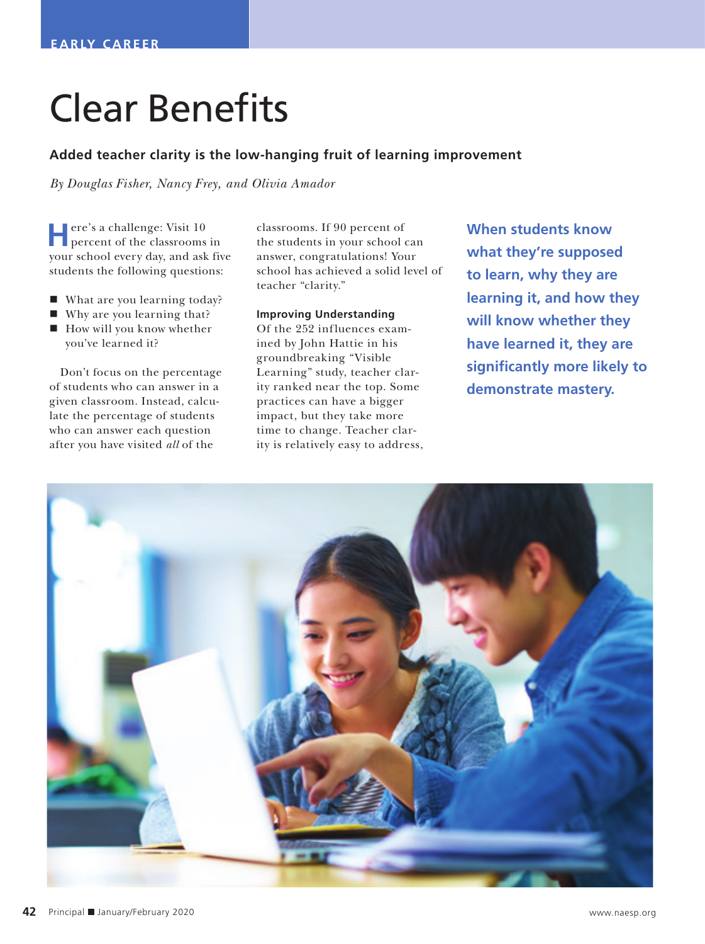# Clear Benefits

## **Added teacher clarity is the low-hanging fruit of learning improvement**

*By Douglas Fisher, Nancy Frey, and Olivia Amador*

**H**ere's a challenge: Visit 10 percent of the classrooms in your school every day, and ask five students the following questions:

- What are you learning today?
- Why are you learning that?
- $\blacksquare$  How will you know whether you've learned it?

Don't focus on the percentage of students who can answer in a given classroom. Instead, calculate the percentage of students who can answer each question after you have visited *all* of the

classrooms. If 90 percent of the students in your school can answer, congratulations! Your school has achieved a solid level of teacher "clarity."

### **Improving Understanding**

Of the 252 influences examined by John Hattie in his groundbreaking "Visible Learning" study, teacher clarity ranked near the top. Some practices can have a bigger impact, but they take more time to change. Teacher clarity is relatively easy to address, **When students know what they're supposed to learn, why they are learning it, and how they will know whether they have learned it, they are significantly more likely to demonstrate mastery.**